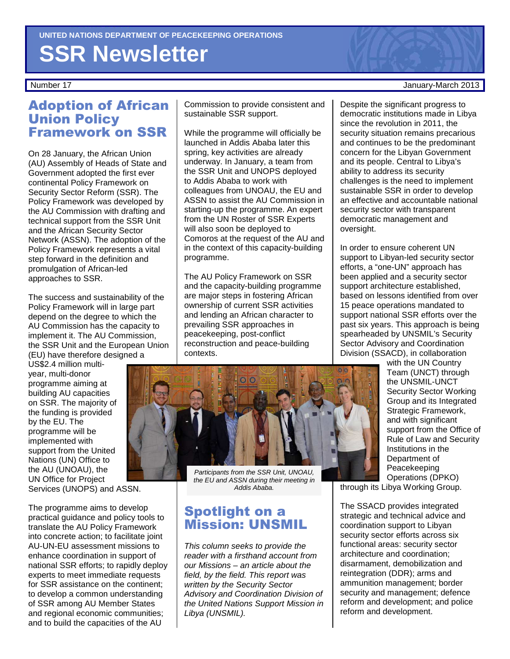# **SSR Newsletter**

#### Adoption of African Union Policy Framework on SSR

On 28 January, the African Union (AU) Assembly of Heads of State and Government adopted the first ever continental Policy Framework on Security Sector Reform (SSR). The Policy Framework was developed by the AU Commission with drafting and technical support from the SSR Unit and the African Security Sector Network (ASSN). The adoption of the Policy Framework represents a vital step forward in the definition and promulgation of African-led approaches to SSR.

The success and sustainability of the Policy Framework will in large part depend on the degree to which the AU Commission has the capacity to implement it. The AU Commission, the SSR Unit and the European Union (EU) have therefore designed a

US\$2.4 million multiyear, multi-donor programme aiming at building AU capacities on SSR. The majority of the funding is provided by the EU. The programme will be implemented with support from the United Nations (UN) Office to the AU (UNOAU), the UN Office for Project Services (UNOPS) and ASSN.

The programme aims to develop practical guidance and policy tools to translate the AU Policy Framework into concrete action; to facilitate joint AU-UN-EU assessment missions to enhance coordination in support of national SSR efforts; to rapidly deploy experts to meet immediate requests for SSR assistance on the continent; to develop a common understanding of SSR among AU Member States and regional economic communities; and to build the capacities of the AU

Commission to provide consistent and sustainable SSR support.

While the programme will officially be launched in Addis Ababa later this spring, key activities are already underway. In January, a team from the SSR Unit and UNOPS deployed to Addis Ababa to work with colleagues from UNOAU, the EU and ASSN to assist the AU Commission in starting-up the programme. An expert from the UN Roster of SSR Experts will also soon be deployed to Comoros at the request of the AU and in the context of this capacity-building programme.

The AU Policy Framework on SSR and the capacity-building programme are major steps in fostering African ownership of current SSR activities and lending an African character to prevailing SSR approaches in peacekeeping, post-conflict reconstruction and peace-building contexts.



Participants from the SSR Unit, UNOAU, the EU and ASSN during their meeting in Addis Ababa.

#### Spotlight on a Mission: UNSMIL

This column seeks to provide the reader with a firsthand account from our Missions – an article about the field, by the field. This report was written by the Security Sector Advisory and Coordination Division of the United Nations Support Mission in Libya (UNSMIL).

#### Number 17 January-March 2013

Despite the significant progress to democratic institutions made in Libya since the revolution in 2011, the security situation remains precarious and continues to be the predominant concern for the Libyan Government and its people. Central to Libya's ability to address its security challenges is the need to implement sustainable SSR in order to develop an effective and accountable national security sector with transparent democratic management and oversight.

In order to ensure coherent UN support to Libyan-led security sector efforts, a "one-UN" approach has been applied and a security sector support architecture established, based on lessons identified from over 15 peace operations mandated to support national SSR efforts over the past six years. This approach is being spearheaded by UNSMIL's Security Sector Advisory and Coordination Division (SSACD), in collaboration

with the UN Country Team (UNCT) through the UNSMIL-UNCT Security Sector Working Group and its Integrated Strategic Framework, and with significant support from the Office of Rule of Law and Security Institutions in the Department of Peacekeeping Operations (DPKO)

through its Libya Working Group.

The SSACD provides integrated strategic and technical advice and coordination support to Libyan security sector efforts across six functional areas: security sector architecture and coordination; disarmament, demobilization and reintegration (DDR); arms and ammunition management; border security and management; defence reform and development; and police reform and development.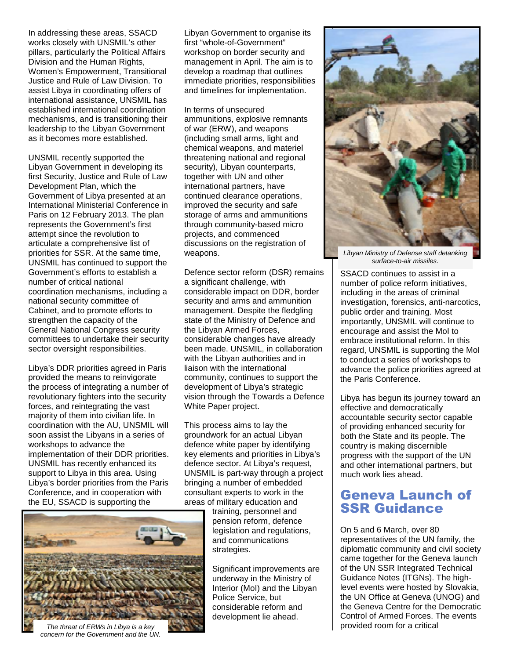In addressing these areas, SSACD works closely with UNSMIL's other pillars, particularly the Political Affairs Division and the Human Rights, Women's Empowerment, Transitional Justice and Rule of Law Division. To assist Libya in coordinating offers of international assistance, UNSMIL has established international coordination mechanisms, and is transitioning their leadership to the Libyan Government as it becomes more established.

UNSMIL recently supported the Libyan Government in developing its first Security, Justice and Rule of Law Development Plan, which the Government of Libya presented at an International Ministerial Conference in Paris on 12 February 2013. The plan represents the Government's first attempt since the revolution to articulate a comprehensive list of priorities for SSR. At the same time, UNSMIL has continued to support the Government's efforts to establish a number of critical national coordination mechanisms, including a national security committee of Cabinet, and to promote efforts to strengthen the capacity of the General National Congress security committees to undertake their security sector oversight responsibilities.

Libya's DDR priorities agreed in Paris provided the means to reinvigorate the process of integrating a number of revolutionary fighters into the security forces, and reintegrating the vast majority of them into civilian life. In coordination with the AU, UNSMIL will soon assist the Libyans in a series of workshops to advance the implementation of their DDR priorities. UNSMIL has recently enhanced its support to Libya in this area. Using Libya's border priorities from the Paris Conference, and in cooperation with the EU, SSACD is supporting the

Libyan Government to organise its first "whole-of-Government" workshop on border security and management in April. The aim is to develop a roadmap that outlines immediate priorities, responsibilities and timelines for implementation.

In terms of unsecured ammunitions, explosive remnants of war (ERW), and weapons (including small arms, light and chemical weapons, and materiel threatening national and regional security), Libyan counterparts, together with UN and other international partners, have continued clearance operations, improved the security and safe storage of arms and ammunitions through community-based micro projects, and commenced discussions on the registration of weapons.

Defence sector reform (DSR) remains a significant challenge, with considerable impact on DDR, border security and arms and ammunition management. Despite the fledgling state of the Ministry of Defence and the Libyan Armed Forces, considerable changes have already been made. UNSMIL, in collaboration with the Libyan authorities and in liaison with the international community, continues to support the development of Libya's strategic vision through the Towards a Defence White Paper project.

This process aims to lay the groundwork for an actual Libyan defence white paper by identifying key elements and priorities in Libya's defence sector. At Libya's request, UNSMIL is part-way through a project bringing a number of embedded consultant experts to work in the areas of military education and

The threat of ERWs in Libya is a key concern for the Government and the UN.

training, personnel and pension reform, defence legislation and regulations, and communications strategies.

Significant improvements are underway in the Ministry of Interior (MoI) and the Libyan Police Service, but considerable reform and development lie ahead.



Libyan Ministry of Defense staff detanking surface-to-air missiles.

SSACD continues to assist in a number of police reform initiatives, including in the areas of criminal investigation, forensics, anti-narcotics, public order and training. Most importantly, UNSMIL will continue to encourage and assist the MoI to embrace institutional reform. In this regard, UNSMIL is supporting the MoI to conduct a series of workshops to advance the police priorities agreed at the Paris Conference.

Libya has begun its journey toward an effective and democratically accountable security sector capable of providing enhanced security for both the State and its people. The country is making discernible progress with the support of the UN and other international partners, but much work lies ahead.

### Geneva Launch of SSR Guidance

On 5 and 6 March, over 80 representatives of the UN family, the diplomatic community and civil society came together for the Geneva launch of the UN SSR Integrated Technical Guidance Notes (ITGNs). The highlevel events were hosted by Slovakia, the UN Office at Geneva (UNOG) and the Geneva Centre for the Democratic Control of Armed Forces. The events provided room for a critical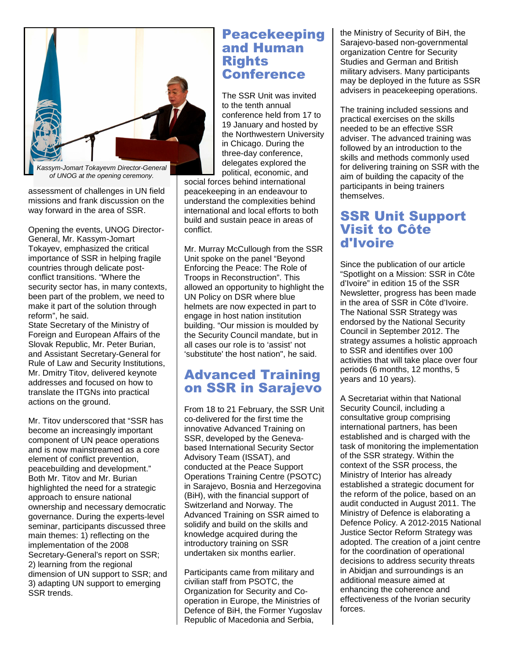

Kassym-Jomart Tokayevm Director-General of UNOG at the opening ceremony.

assessment of challenges in UN field missions and frank discussion on the way forward in the area of SSR.

Opening the events, UNOG Director-General, Mr. Kassym-Jomart Tokayev, emphasized the critical importance of SSR in helping fragile countries through delicate postconflict transitions. "Where the security sector has, in many contexts, been part of the problem, we need to make it part of the solution through reform", he said.

State Secretary of the Ministry of Foreign and European Affairs of the Slovak Republic, Mr. Peter Burian, and Assistant Secretary-General for Rule of Law and Security Institutions, Mr. Dmitry Titov, delivered keynote addresses and focused on how to translate the ITGNs into practical actions on the ground.

Mr. Titov underscored that "SSR has become an increasingly important component of UN peace operations and is now mainstreamed as a core element of conflict prevention, peacebuilding and development." Both Mr. Titov and Mr. Burian highlighted the need for a strategic approach to ensure national ownership and necessary democratic governance. During the experts-level seminar, participants discussed three main themes: 1) reflecting on the implementation of the 2008 Secretary-General's report on SSR; 2) learning from the regional dimension of UN support to SSR; and 3) adapting UN support to emerging SSR trends.

#### Peacekeeping and Human **Rights Conference**

The SSR Unit was invited to the tenth annual conference held from 17 to 19 January and hosted by the Northwestern University in Chicago. During the three-day conference, delegates explored the political, economic, and

social forces behind international peacekeeping in an endeavour to understand the complexities behind international and local efforts to both build and sustain peace in areas of conflict.

Mr. Murray McCullough from the SSR Unit spoke on the panel "Beyond Enforcing the Peace: The Role of Troops in Reconstruction". This allowed an opportunity to highlight the UN Policy on DSR where blue helmets are now expected in part to engage in host nation institution building. "Our mission is moulded by the Security Council mandate, but in all cases our role is to 'assist' not 'substitute' the host nation", he said.

#### Advanced Training on SSR in Sarajevo

From 18 to 21 February, the SSR Unit co-delivered for the first time the innovative Advanced Training on SSR, developed by the Genevabased International Security Sector Advisory Team (ISSAT), and conducted at the Peace Support Operations Training Centre (PSOTC) in Sarajevo, Bosnia and Herzegovina (BiH), with the financial support of Switzerland and Norway. The Advanced Training on SSR aimed to solidify and build on the skills and knowledge acquired during the introductory training on SSR undertaken six months earlier.

Participants came from military and civilian staff from PSOTC, the Organization for Security and Cooperation in Europe, the Ministries of Defence of BiH, the Former Yugoslav Republic of Macedonia and Serbia,

the Ministry of Security of BiH, the Sarajevo-based non-governmental organization Centre for Security Studies and German and British military advisers. Many participants may be deployed in the future as SSR advisers in peacekeeping operations.

The training included sessions and practical exercises on the skills needed to be an effective SSR adviser. The advanced training was followed by an introduction to the skills and methods commonly used for delivering training on SSR with the aim of building the capacity of the participants in being trainers themselves.

#### SSR Unit Support Visit to Côte d'Ivoire

Since the publication of our article "Spotlight on a Mission: SSR in Côte d'Ivoire" in edition 15 of the SSR Newsletter, progress has been made in the area of SSR in Côte d'Ivoire. The National SSR Strategy was endorsed by the National Security Council in September 2012. The strategy assumes a holistic approach to SSR and identifies over 100 activities that will take place over four periods (6 months, 12 months, 5 years and 10 years).

A Secretariat within that National Security Council, including a consultative group comprising international partners, has been established and is charged with the task of monitoring the implementation of the SSR strategy. Within the context of the SSR process, the Ministry of Interior has already established a strategic document for the reform of the police, based on an audit conducted in August 2011. The Ministry of Defence is elaborating a Defence Policy. A 2012-2015 National Justice Sector Reform Strategy was adopted. The creation of a joint centre for the coordination of operational decisions to address security threats in Abidjan and surroundings is an additional measure aimed at enhancing the coherence and effectiveness of the Ivorian security forces.